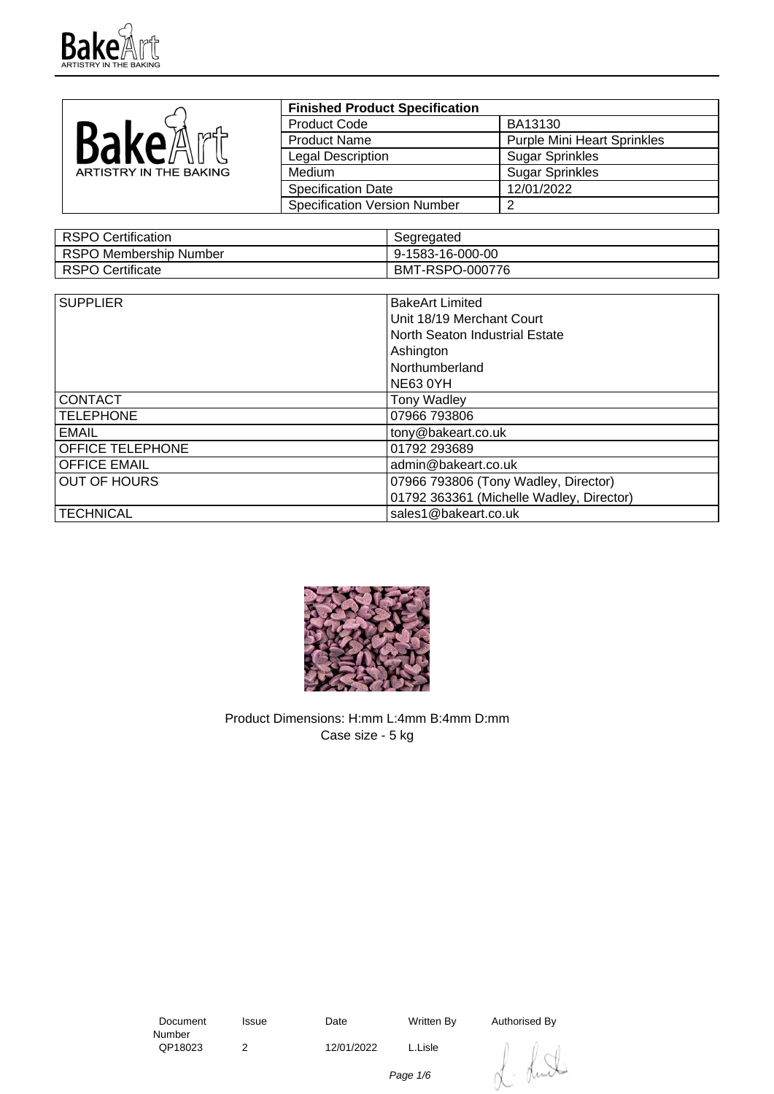

|                        | <b>Finished Product Specification</b> |                                    |
|------------------------|---------------------------------------|------------------------------------|
|                        | <b>Product Code</b>                   | BA13130                            |
| BakeA<br>n⁄nd≒         | <b>Product Name</b>                   | <b>Purple Mini Heart Sprinkles</b> |
|                        | <b>Legal Description</b>              | <b>Sugar Sprinkles</b>             |
| ARTISTRY IN THE BAKING | Medium                                | <b>Sugar Sprinkles</b>             |
|                        | <b>Specification Date</b>             | 12/01/2022                         |
|                        | <b>Specification Version Number</b>   |                                    |

| RSPO Certification      | Segregated       |
|-------------------------|------------------|
| RSPO Membership Number  | 9-1583-16-000-00 |
| <b>RSPO Certificate</b> | BMT-RSPO-000776  |

| <b>SUPPLIER</b>         | <b>BakeArt Limited</b>                   |  |
|-------------------------|------------------------------------------|--|
|                         | Unit 18/19 Merchant Court                |  |
|                         | North Seaton Industrial Estate           |  |
|                         | Ashington                                |  |
|                         | Northumberland                           |  |
|                         | <b>NE63 0YH</b>                          |  |
| <b>CONTACT</b>          | <b>Tony Wadley</b>                       |  |
| <b>TELEPHONE</b>        | 07966 793806                             |  |
| <b>EMAIL</b>            | tony@bakeart.co.uk                       |  |
| <b>OFFICE TELEPHONE</b> | 01792 293689                             |  |
| <b>OFFICE EMAIL</b>     | admin@bakeart.co.uk                      |  |
| <b>OUT OF HOURS</b>     | 07966 793806 (Tony Wadley, Director)     |  |
|                         | 01792 363361 (Michelle Wadley, Director) |  |
| <b>TECHNICAL</b>        | sales1@bakeart.co.uk                     |  |



Product Dimensions: H:mm L:4mm B:4mm D:mm Case size - 5 kg

 Document Number<br>QP18023

2 12/01/2022 L.Lisle

Issue Date Written By Authorised By



Page 1/6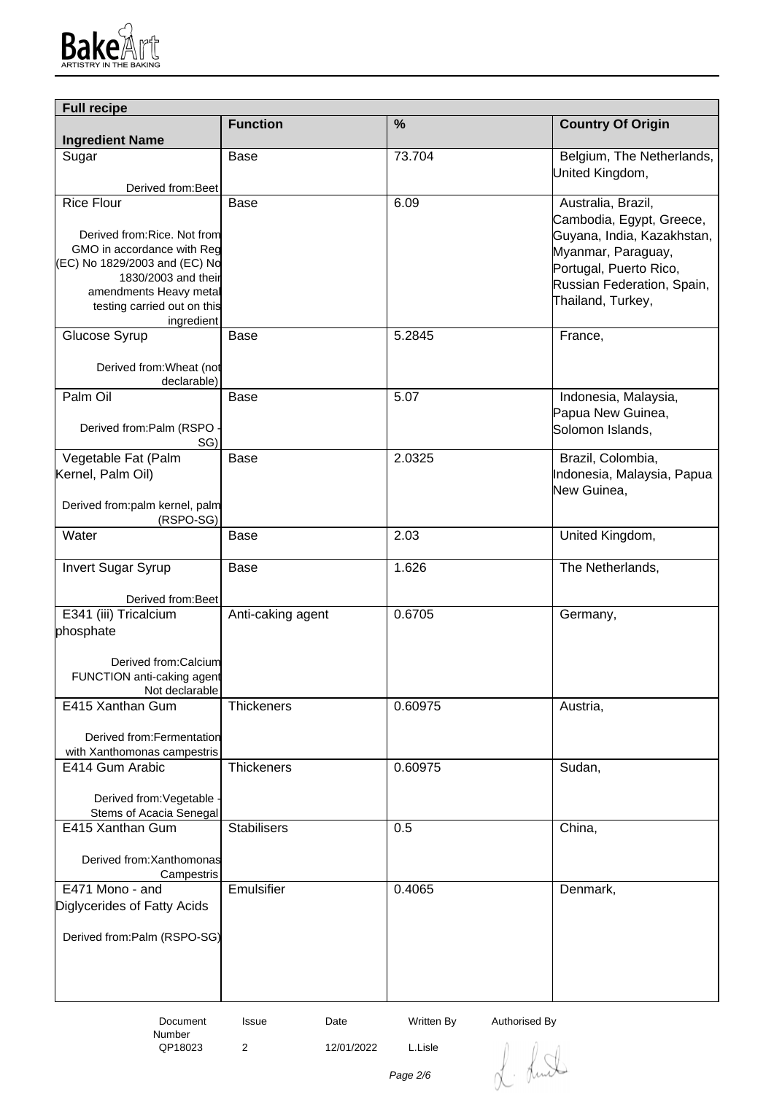

| <b>Full recipe</b>                            |                    |            |                                                |  |
|-----------------------------------------------|--------------------|------------|------------------------------------------------|--|
| <b>Ingredient Name</b>                        | <b>Function</b>    | %          | <b>Country Of Origin</b>                       |  |
| Sugar                                         | Base               | 73.704     | Belgium, The Netherlands,                      |  |
|                                               |                    |            | United Kingdom,                                |  |
| Derived from: Beet<br><b>Rice Flour</b>       | <b>Base</b>        | 6.09       |                                                |  |
|                                               |                    |            | Australia, Brazil,<br>Cambodia, Egypt, Greece, |  |
| Derived from: Rice. Not from                  |                    |            | Guyana, India, Kazakhstan,                     |  |
| GMO in accordance with Reg                    |                    |            | Myanmar, Paraguay,                             |  |
| (EC) No 1829/2003 and (EC) No                 |                    |            | Portugal, Puerto Rico,                         |  |
| 1830/2003 and their<br>amendments Heavy metal |                    |            | Russian Federation, Spain,                     |  |
| testing carried out on this                   |                    |            | Thailand, Turkey,                              |  |
| ingredient                                    |                    |            |                                                |  |
| Glucose Syrup                                 | Base               | 5.2845     | France,                                        |  |
| Derived from: Wheat (not<br>declarable)       |                    |            |                                                |  |
| Palm Oil                                      | Base               | 5.07       | Indonesia, Malaysia,                           |  |
|                                               |                    |            | Papua New Guinea,                              |  |
| Derived from:Palm (RSPO<br>SG)                |                    |            | Solomon Islands,                               |  |
| Vegetable Fat (Palm                           | <b>Base</b>        | 2.0325     | Brazil, Colombia,                              |  |
| Kernel, Palm Oil)                             |                    |            | Indonesia, Malaysia, Papua                     |  |
|                                               |                    |            | New Guinea,                                    |  |
| Derived from:palm kernel, palm<br>(RSPO-SG)   |                    |            |                                                |  |
| Water                                         | Base               | 2.03       | United Kingdom,                                |  |
|                                               |                    |            |                                                |  |
| <b>Invert Sugar Syrup</b>                     | Base               | 1.626      | The Netherlands,                               |  |
| Derived from: Beet                            |                    |            |                                                |  |
| E341 (iii) Tricalcium                         | Anti-caking agent  | 0.6705     | Germany,                                       |  |
| phosphate                                     |                    |            |                                                |  |
|                                               |                    |            |                                                |  |
| Derived from:Calcium                          |                    |            |                                                |  |
| FUNCTION anti-caking agent<br>Not declarable  |                    |            |                                                |  |
| E415 Xanthan Gum                              | <b>Thickeners</b>  | 0.60975    | Austria,                                       |  |
|                                               |                    |            |                                                |  |
| Derived from: Fermentation                    |                    |            |                                                |  |
| with Xanthomonas campestris                   |                    |            |                                                |  |
| E414 Gum Arabic                               | <b>Thickeners</b>  | 0.60975    | Sudan,                                         |  |
| Derived from: Vegetable                       |                    |            |                                                |  |
| Stems of Acacia Senegal                       |                    |            |                                                |  |
| E415 Xanthan Gum                              | <b>Stabilisers</b> | 0.5        | China,                                         |  |
|                                               |                    |            |                                                |  |
| Derived from: Xanthomonas<br>Campestris       |                    |            |                                                |  |
| E471 Mono - and                               | Emulsifier         | 0.4065     | Denmark,                                       |  |
| Diglycerides of Fatty Acids                   |                    |            |                                                |  |
|                                               |                    |            |                                                |  |
| Derived from:Palm (RSPO-SG)                   |                    |            |                                                |  |
|                                               |                    |            |                                                |  |
|                                               |                    |            |                                                |  |
|                                               |                    |            |                                                |  |
| Document                                      | Issue<br>Date      | Written By | Authorised By                                  |  |

Number<br>QP18023

2 12/01/2022 L.Lisle

L. Lund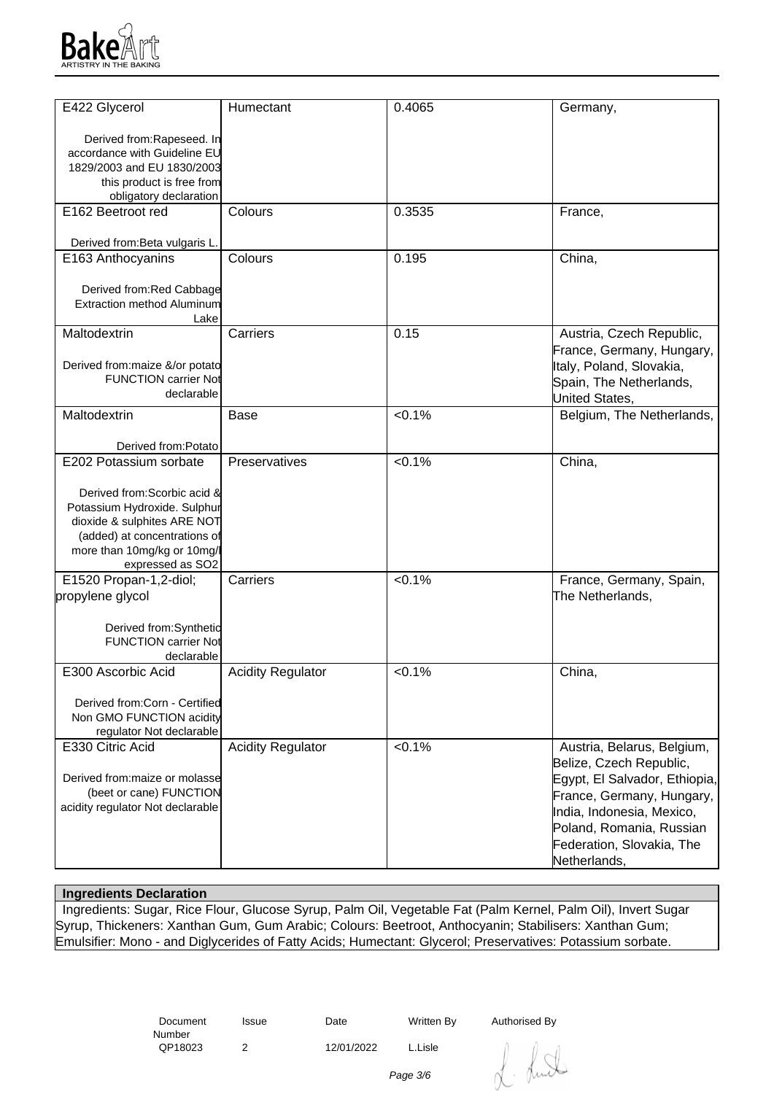

| E422 Glycerol                                               | Humectant                | 0.4065    | Germany,                      |
|-------------------------------------------------------------|--------------------------|-----------|-------------------------------|
| Derived from:Rapeseed. In                                   |                          |           |                               |
| accordance with Guideline EU                                |                          |           |                               |
| 1829/2003 and EU 1830/2003                                  |                          |           |                               |
| this product is free from                                   |                          |           |                               |
| obligatory declaration                                      |                          |           |                               |
| E162 Beetroot red                                           | Colours                  | 0.3535    | France,                       |
|                                                             |                          |           |                               |
| Derived from: Beta vulgaris L.                              |                          |           |                               |
| E163 Anthocyanins                                           | Colours                  | 0.195     | China,                        |
|                                                             |                          |           |                               |
| Derived from:Red Cabbage                                    |                          |           |                               |
| <b>Extraction method Aluminum</b>                           |                          |           |                               |
| Lake                                                        |                          |           |                               |
| Maltodextrin                                                | Carriers                 | 0.15      | Austria, Czech Republic,      |
|                                                             |                          |           | France, Germany, Hungary,     |
| Derived from: maize &/or potato                             |                          |           | Italy, Poland, Slovakia,      |
| <b>FUNCTION carrier Not</b>                                 |                          |           | Spain, The Netherlands,       |
| declarable                                                  |                          |           | United States,                |
| Maltodextrin                                                | Base                     | < 0.1%    | Belgium, The Netherlands,     |
|                                                             |                          |           |                               |
| Derived from:Potato                                         |                          |           |                               |
| E202 Potassium sorbate                                      | Preservatives            | < 0.1%    | China,                        |
|                                                             |                          |           |                               |
| Derived from: Scorbic acid &                                |                          |           |                               |
| Potassium Hydroxide. Sulphur                                |                          |           |                               |
| dioxide & sulphites ARE NOT                                 |                          |           |                               |
| (added) at concentrations of<br>more than 10mg/kg or 10mg/l |                          |           |                               |
| expressed as SO2                                            |                          |           |                               |
| E1520 Propan-1,2-diol;                                      | Carriers                 | < 0.1%    | France, Germany, Spain,       |
| propylene glycol                                            |                          |           | The Netherlands,              |
|                                                             |                          |           |                               |
| Derived from:Synthetic                                      |                          |           |                               |
| <b>FUNCTION carrier Not</b>                                 |                          |           |                               |
| declarable                                                  |                          |           |                               |
| E300 Ascorbic Acid                                          | <b>Acidity Regulator</b> | $< 0.1\%$ | China,                        |
|                                                             |                          |           |                               |
| Derived from:Corn - Certified                               |                          |           |                               |
| Non GMO FUNCTION acidity                                    |                          |           |                               |
| regulator Not declarable                                    |                          |           |                               |
| E330 Citric Acid                                            | <b>Acidity Regulator</b> | < 0.1%    | Austria, Belarus, Belgium,    |
|                                                             |                          |           | Belize, Czech Republic,       |
| Derived from: maize or molasse                              |                          |           | Egypt, El Salvador, Ethiopia, |
| (beet or cane) FUNCTION                                     |                          |           | France, Germany, Hungary,     |
| acidity regulator Not declarable                            |                          |           | India, Indonesia, Mexico,     |
|                                                             |                          |           | Poland, Romania, Russian      |
|                                                             |                          |           | Federation, Slovakia, The     |
|                                                             |                          |           | Netherlands,                  |
|                                                             |                          |           |                               |

## **Ingredients Declaration**

 Ingredients: Sugar, Rice Flour, Glucose Syrup, Palm Oil, Vegetable Fat (Palm Kernel, Palm Oil), Invert Sugar Syrup, Thickeners: Xanthan Gum, Gum Arabic; Colours: Beetroot, Anthocyanin; Stabilisers: Xanthan Gum; Emulsifier: Mono - and Diglycerides of Fatty Acids; Humectant: Glycerol; Preservatives: Potassium sorbate.

> Document Number<br>QP18023

2 12/01/2022 L.Lisle

Issue Date Written By Authorised By

dunt

Page 3/6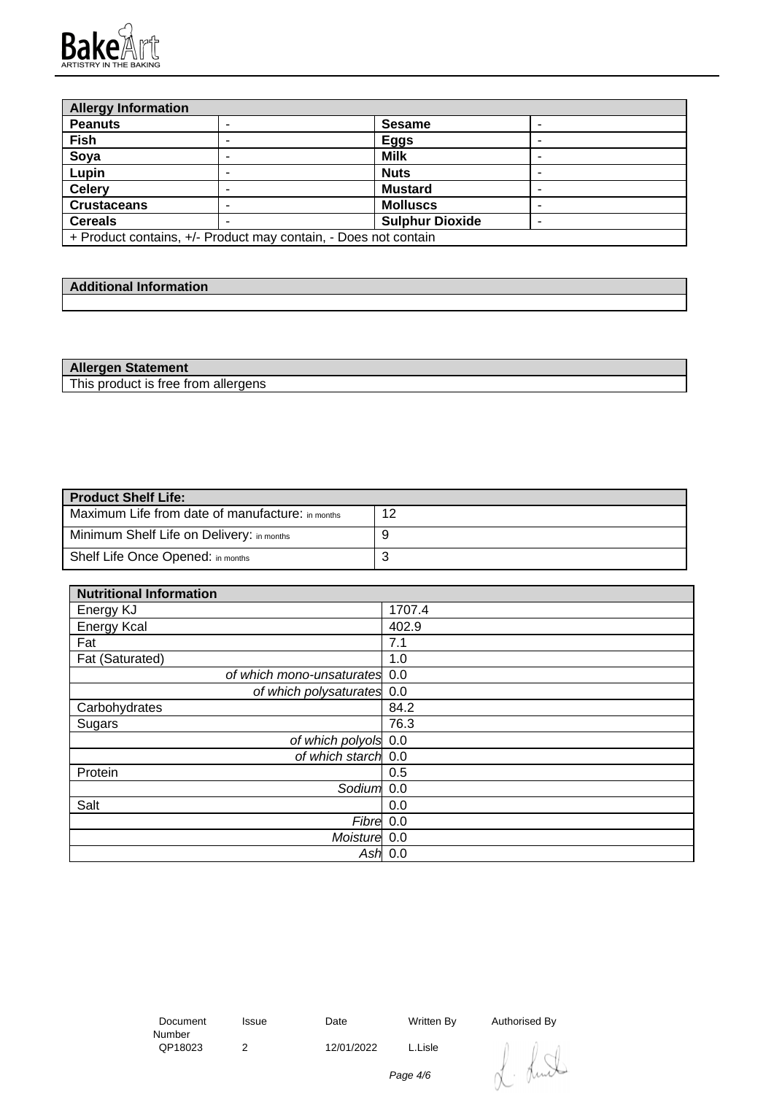

| <b>Allergy Information</b>                                      |  |                        |  |
|-----------------------------------------------------------------|--|------------------------|--|
| <b>Peanuts</b>                                                  |  | <b>Sesame</b>          |  |
| Fish                                                            |  | <b>Eggs</b>            |  |
| Soya                                                            |  | <b>Milk</b>            |  |
| Lupin                                                           |  | <b>Nuts</b>            |  |
| <b>Celery</b>                                                   |  | <b>Mustard</b>         |  |
| <b>Crustaceans</b>                                              |  | <b>Molluscs</b>        |  |
| <b>Cereals</b>                                                  |  | <b>Sulphur Dioxide</b> |  |
| + Product contains, +/- Product may contain, - Does not contain |  |                        |  |

| والمحدود والمسارات والمستحدث<br>----<br><b>Additional Information</b> |  |
|-----------------------------------------------------------------------|--|
|                                                                       |  |

| <b>Allergen Statement</b>           |  |
|-------------------------------------|--|
| This product is free from allergens |  |

| <b>Product Shelf Life:</b>                       |    |  |  |
|--------------------------------------------------|----|--|--|
| Maximum Life from date of manufacture: in months | 12 |  |  |
| Minimum Shelf Life on Delivery: in months        |    |  |  |
| Shelf Life Once Opened: in months                | ັ  |  |  |

| <b>Nutritional Information</b> |           |
|--------------------------------|-----------|
| Energy KJ                      | 1707.4    |
| <b>Energy Kcal</b>             | 402.9     |
| Fat                            | 7.1       |
| Fat (Saturated)                | 1.0       |
| of which mono-unsaturates 0.0  |           |
| of which polysaturates 0.0     |           |
| Carbohydrates                  | 84.2      |
| Sugars                         | 76.3      |
| of which polyols 0.0           |           |
| of which starch 0.0            |           |
| Protein                        | 0.5       |
| Sodium <sup>1</sup> 0.0        |           |
| Salt                           | 0.0       |
| Fibre 0.0                      |           |
| Moisture 0.0                   |           |
|                                | Ash $0.0$ |

 Document Number<br>QP18023

2 12/01/2022 L.Lisle

Issue Date Written By Authorised By

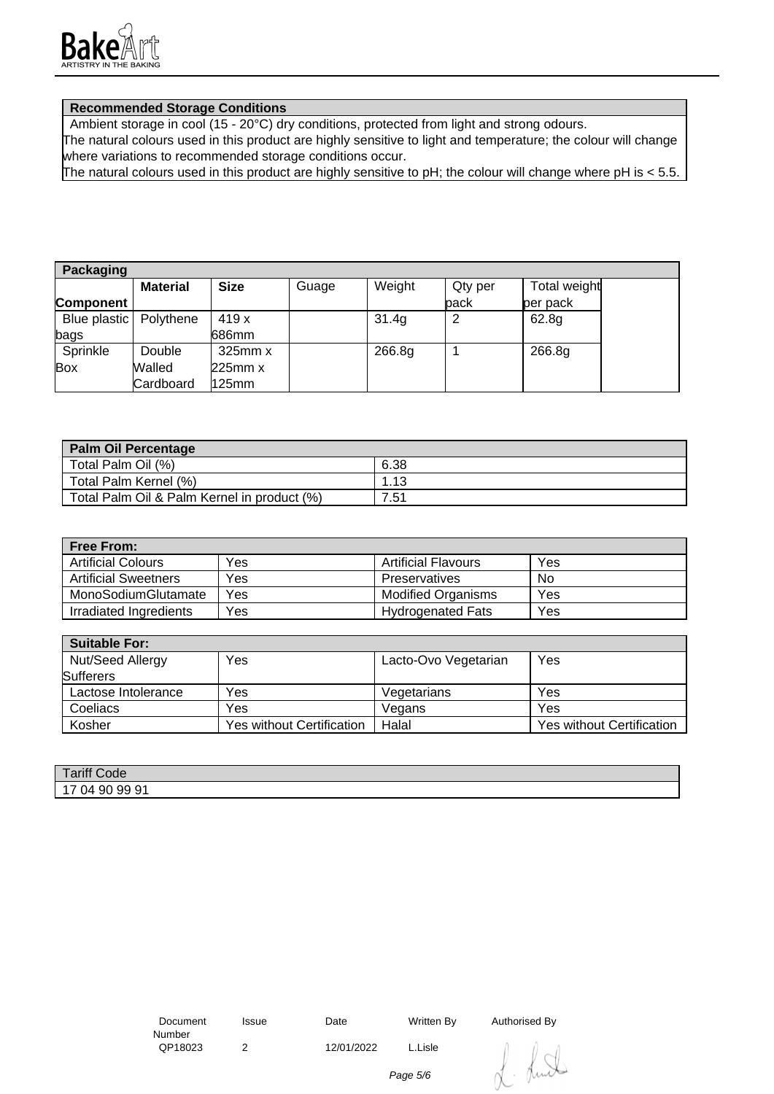

## **Recommended Storage Conditions**

Ambient storage in cool (15 - 20°C) dry conditions, protected from light and strong odours.

The natural colours used in this product are highly sensitive to light and temperature; the colour will change where variations to recommended storage conditions occur.

The natural colours used in this product are highly sensitive to pH; the colour will change where pH is < 5.5.

| <b>Packaging</b>         |                 |              |       |        |         |              |
|--------------------------|-----------------|--------------|-------|--------|---------|--------------|
|                          | <b>Material</b> | <b>Size</b>  | Guage | Weight | Qty per | Total weight |
| Component                |                 |              |       |        | back    | per pack     |
| Blue plastic   Polythene |                 | 419 x        |       | 31.4g  |         | 62.8g        |
| bags                     |                 | 686mm        |       |        |         |              |
| Sprinkle                 | Double          | $325$ mm $x$ |       | 266.8g |         | 266.8g       |
| Box                      | Walled          | $225$ mm $x$ |       |        |         |              |
|                          | Cardboard       | 125mm        |       |        |         |              |

| Palm Oil Percentage                         |      |
|---------------------------------------------|------|
| Total Palm Oil (%)                          | 6.38 |
| Total Palm Kernel (%)                       | l.13 |
| Total Palm Oil & Palm Kernel in product (%) | 7.51 |

| <b>Free From:</b>           |     |                            |     |
|-----------------------------|-----|----------------------------|-----|
| <b>Artificial Colours</b>   | Yes | <b>Artificial Flavours</b> | Yes |
| <b>Artificial Sweetners</b> | Yes | Preservatives              | No  |
| MonoSodiumGlutamate         | Yes | <b>Modified Organisms</b>  | Yes |
| Irradiated Ingredients      | Yes | <b>Hydrogenated Fats</b>   | Yes |

| <b>Suitable For:</b> |                           |                      |                                  |
|----------------------|---------------------------|----------------------|----------------------------------|
| Nut/Seed Allergy     | Yes                       | Lacto-Ovo Vegetarian | Yes                              |
| <b>Sufferers</b>     |                           |                      |                                  |
| Lactose Intolerance  | Yes                       | Vegetarians          | Yes                              |
| Coeliacs             | Yes                       | Vegans               | Yes                              |
| Kosher               | Yes without Certification | Halal                | <b>Yes without Certification</b> |

| Tariff Co<br>Code                                     |  |
|-------------------------------------------------------|--|
| , 99 91<br>-90<br>ገ4<br>$\overline{\phantom{a}}$<br>ີ |  |

2 12/01/2022 L.Lisle

Issue Date Written By Authorised By



Page 5/6